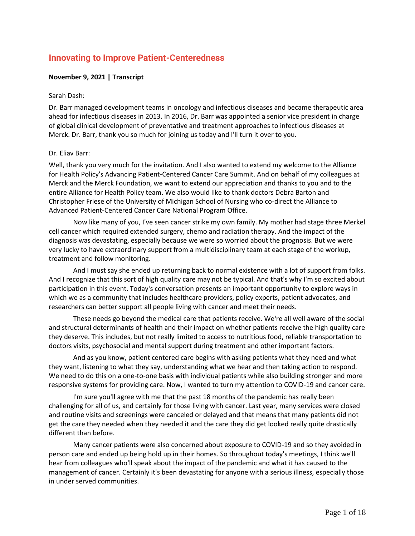# **Innovating to Improve Patient-Centeredness**

# **November 9, 2021 | Transcript**

#### Sarah Dash:

Dr. Barr managed development teams in oncology and infectious diseases and became therapeutic area ahead for infectious diseases in 2013. In 2016, Dr. Barr was appointed a senior vice president in charge of global clinical development of preventative and treatment approaches to infectious diseases at Merck. Dr. Barr, thank you so much for joining us today and I'll turn it over to you.

# Dr. Eliav Barr:

Well, thank you very much for the invitation. And I also wanted to extend my welcome to the Alliance for Health Policy's Advancing Patient-Centered Cancer Care Summit. And on behalf of my colleagues at Merck and the Merck Foundation, we want to extend our appreciation and thanks to you and to the entire Alliance for Health Policy team. We also would like to thank doctors Debra Barton and Christopher Friese of the University of Michigan School of Nursing who co-direct the Alliance to Advanced Patient-Centered Cancer Care National Program Office.

Now like many of you, I've seen cancer strike my own family. My mother had stage three Merkel cell cancer which required extended surgery, chemo and radiation therapy. And the impact of the diagnosis was devastating, especially because we were so worried about the prognosis. But we were very lucky to have extraordinary support from a multidisciplinary team at each stage of the workup, treatment and follow monitoring.

And I must say she ended up returning back to normal existence with a lot of support from folks. And I recognize that this sort of high quality care may not be typical. And that's why I'm so excited about participation in this event. Today's conversation presents an important opportunity to explore ways in which we as a community that includes healthcare providers, policy experts, patient advocates, and researchers can better support all people living with cancer and meet their needs.

These needs go beyond the medical care that patients receive. We're all well aware of the social and structural determinants of health and their impact on whether patients receive the high quality care they deserve. This includes, but not really limited to access to nutritious food, reliable transportation to doctors visits, psychosocial and mental support during treatment and other important factors.

And as you know, patient centered care begins with asking patients what they need and what they want, listening to what they say, understanding what we hear and then taking action to respond. We need to do this on a one-to-one basis with individual patients while also building stronger and more responsive systems for providing care. Now, I wanted to turn my attention to COVID-19 and cancer care.

I'm sure you'll agree with me that the past 18 months of the pandemic has really been challenging for all of us, and certainly for those living with cancer. Last year, many services were closed and routine visits and screenings were canceled or delayed and that means that many patients did not get the care they needed when they needed it and the care they did get looked really quite drastically different than before.

Many cancer patients were also concerned about exposure to COVID-19 and so they avoided in person care and ended up being hold up in their homes. So throughout today's meetings, I think we'll hear from colleagues who'll speak about the impact of the pandemic and what it has caused to the management of cancer. Certainly it's been devastating for anyone with a serious illness, especially those in under served communities.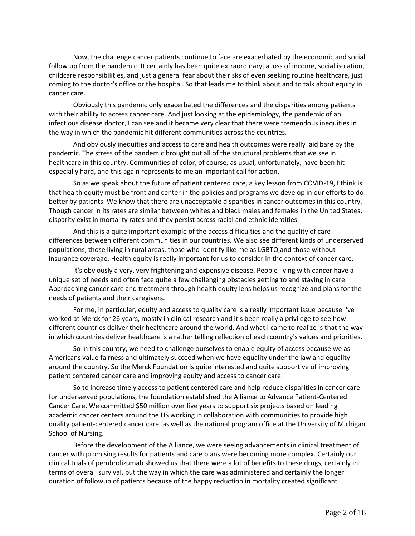Now, the challenge cancer patients continue to face are exacerbated by the economic and social follow up from the pandemic. It certainly has been quite extraordinary, a loss of income, social isolation, childcare responsibilities, and just a general fear about the risks of even seeking routine healthcare, just coming to the doctor's office or the hospital. So that leads me to think about and to talk about equity in cancer care.

Obviously this pandemic only exacerbated the differences and the disparities among patients with their ability to access cancer care. And just looking at the epidemiology, the pandemic of an infectious disease doctor, I can see and it became very clear that there were tremendous inequities in the way in which the pandemic hit different communities across the countries.

And obviously inequities and access to care and health outcomes were really laid bare by the pandemic. The stress of the pandemic brought out all of the structural problems that we see in healthcare in this country. Communities of color, of course, as usual, unfortunately, have been hit especially hard, and this again represents to me an important call for action.

So as we speak about the future of patient centered care, a key lesson from COVID-19, I think is that health equity must be front and center in the policies and programs we develop in our efforts to do better by patients. We know that there are unacceptable disparities in cancer outcomes in this country. Though cancer in its rates are similar between whites and black males and females in the United States, disparity exist in mortality rates and they persist across racial and ethnic identities.

And this is a quite important example of the access difficulties and the quality of care differences between different communities in our countries. We also see different kinds of underserved populations, those living in rural areas, those who identify like me as LGBTQ and those without insurance coverage. Health equity is really important for us to consider in the context of cancer care.

It's obviously a very, very frightening and expensive disease. People living with cancer have a unique set of needs and often face quite a few challenging obstacles getting to and staying in care. Approaching cancer care and treatment through health equity lens helps us recognize and plans for the needs of patients and their caregivers.

For me, in particular, equity and access to quality care is a really important issue because I've worked at Merck for 26 years, mostly in clinical research and it's been really a privilege to see how different countries deliver their healthcare around the world. And what I came to realize is that the way in which countries deliver healthcare is a rather telling reflection of each country's values and priorities.

So in this country, we need to challenge ourselves to enable equity of access because we as Americans value fairness and ultimately succeed when we have equality under the law and equality around the country. So the Merck Foundation is quite interested and quite supportive of improving patient centered cancer care and improving equity and access to cancer care.

So to increase timely access to patient centered care and help reduce disparities in cancer care for underserved populations, the foundation established the Alliance to Advance Patient-Centered Cancer Care. We committed \$50 million over five years to support six projects based on leading academic cancer centers around the US working in collaboration with communities to provide high quality patient-centered cancer care, as well as the national program office at the University of Michigan School of Nursing.

Before the development of the Alliance, we were seeing advancements in clinical treatment of cancer with promising results for patients and care plans were becoming more complex. Certainly our clinical trials of pembrolizumab showed us that there were a lot of benefits to these drugs, certainly in terms of overall survival, but the way in which the care was administered and certainly the longer duration of followup of patients because of the happy reduction in mortality created significant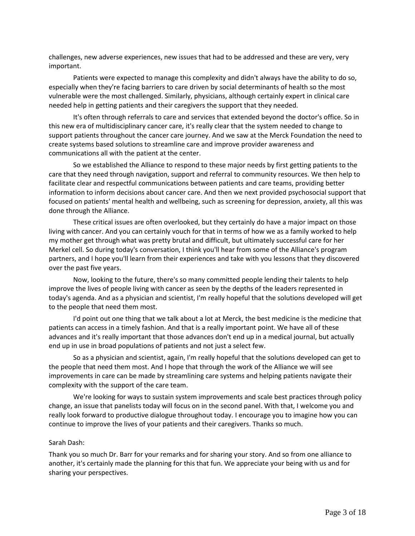challenges, new adverse experiences, new issues that had to be addressed and these are very, very important.

Patients were expected to manage this complexity and didn't always have the ability to do so, especially when they're facing barriers to care driven by social determinants of health so the most vulnerable were the most challenged. Similarly, physicians, although certainly expert in clinical care needed help in getting patients and their caregivers the support that they needed.

It's often through referrals to care and services that extended beyond the doctor's office. So in this new era of multidisciplinary cancer care, it's really clear that the system needed to change to support patients throughout the cancer care journey. And we saw at the Merck Foundation the need to create systems based solutions to streamline care and improve provider awareness and communications all with the patient at the center.

So we established the Alliance to respond to these major needs by first getting patients to the care that they need through navigation, support and referral to community resources. We then help to facilitate clear and respectful communications between patients and care teams, providing better information to inform decisions about cancer care. And then we next provided psychosocial support that focused on patients' mental health and wellbeing, such as screening for depression, anxiety, all this was done through the Alliance.

These critical issues are often overlooked, but they certainly do have a major impact on those living with cancer. And you can certainly vouch for that in terms of how we as a family worked to help my mother get through what was pretty brutal and difficult, but ultimately successful care for her Merkel cell. So during today's conversation, I think you'll hear from some of the Alliance's program partners, and I hope you'll learn from their experiences and take with you lessons that they discovered over the past five years.

Now, looking to the future, there's so many committed people lending their talents to help improve the lives of people living with cancer as seen by the depths of the leaders represented in today's agenda. And as a physician and scientist, I'm really hopeful that the solutions developed will get to the people that need them most.

I'd point out one thing that we talk about a lot at Merck, the best medicine is the medicine that patients can access in a timely fashion. And that is a really important point. We have all of these advances and it's really important that those advances don't end up in a medical journal, but actually end up in use in broad populations of patients and not just a select few.

So as a physician and scientist, again, I'm really hopeful that the solutions developed can get to the people that need them most. And I hope that through the work of the Alliance we will see improvements in care can be made by streamlining care systems and helping patients navigate their complexity with the support of the care team.

We're looking for ways to sustain system improvements and scale best practices through policy change, an issue that panelists today will focus on in the second panel. With that, I welcome you and really look forward to productive dialogue throughout today. I encourage you to imagine how you can continue to improve the lives of your patients and their caregivers. Thanks so much.

# Sarah Dash:

Thank you so much Dr. Barr for your remarks and for sharing your story. And so from one alliance to another, it's certainly made the planning for this that fun. We appreciate your being with us and for sharing your perspectives.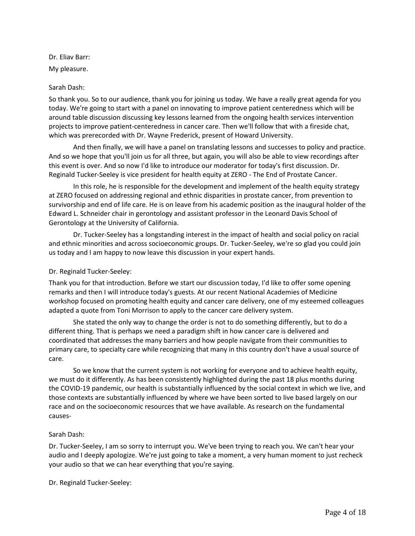Dr. Eliav Barr: My pleasure.

# Sarah Dash:

So thank you. So to our audience, thank you for joining us today. We have a really great agenda for you today. We're going to start with a panel on innovating to improve patient centeredness which will be around table discussion discussing key lessons learned from the ongoing health services intervention projects to improve patient-centeredness in cancer care. Then we'll follow that with a fireside chat, which was prerecorded with Dr. Wayne Frederick, present of Howard University.

And then finally, we will have a panel on translating lessons and successes to policy and practice. And so we hope that you'll join us for all three, but again, you will also be able to view recordings after this event is over. And so now I'd like to introduce our moderator for today's first discussion. Dr. Reginald Tucker-Seeley is vice president for health equity at ZERO - The End of Prostate Cancer.

In this role, he is responsible for the development and implement of the health equity strategy at ZERO focused on addressing regional and ethnic disparities in prostate cancer, from prevention to survivorship and end of life care. He is on leave from his academic position as the inaugural holder of the Edward L. Schneider chair in gerontology and assistant professor in the Leonard Davis School of Gerontology at the University of California.

Dr. Tucker-Seeley has a longstanding interest in the impact of health and social policy on racial and ethnic minorities and across socioeconomic groups. Dr. Tucker-Seeley, we're so glad you could join us today and I am happy to now leave this discussion in your expert hands.

# Dr. Reginald Tucker-Seeley:

Thank you for that introduction. Before we start our discussion today, I'd like to offer some opening remarks and then I will introduce today's guests. At our recent National Academies of Medicine workshop focused on promoting health equity and cancer care delivery, one of my esteemed colleagues adapted a quote from Toni Morrison to apply to the cancer care delivery system.

She stated the only way to change the order is not to do something differently, but to do a different thing. That is perhaps we need a paradigm shift in how cancer care is delivered and coordinated that addresses the many barriers and how people navigate from their communities to primary care, to specialty care while recognizing that many in this country don't have a usual source of care.

So we know that the current system is not working for everyone and to achieve health equity, we must do it differently. As has been consistently highlighted during the past 18 plus months during the COVID-19 pandemic, our health is substantially influenced by the social context in which we live, and those contexts are substantially influenced by where we have been sorted to live based largely on our race and on the socioeconomic resources that we have available. As research on the fundamental causes-

# Sarah Dash:

Dr. Tucker-Seeley, I am so sorry to interrupt you. We've been trying to reach you. We can't hear your audio and I deeply apologize. We're just going to take a moment, a very human moment to just recheck your audio so that we can hear everything that you're saying.

Dr. Reginald Tucker-Seeley: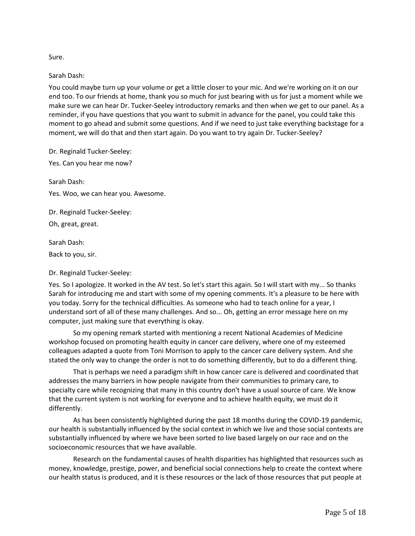Sure.

Sarah Dash:

You could maybe turn up your volume or get a little closer to your mic. And we're working on it on our end too. To our friends at home, thank you so much for just bearing with us for just a moment while we make sure we can hear Dr. Tucker-Seeley introductory remarks and then when we get to our panel. As a reminder, if you have questions that you want to submit in advance for the panel, you could take this moment to go ahead and submit some questions. And if we need to just take everything backstage for a moment, we will do that and then start again. Do you want to try again Dr. Tucker-Seeley?

Dr. Reginald Tucker-Seeley:

Yes. Can you hear me now?

Sarah Dash: Yes. Woo, we can hear you. Awesome.

Dr. Reginald Tucker-Seeley:

Oh, great, great.

Sarah Dash:

Back to you, sir.

Dr. Reginald Tucker-Seeley:

Yes. So I apologize. It worked in the AV test. So let's start this again. So I will start with my... So thanks Sarah for introducing me and start with some of my opening comments. It's a pleasure to be here with you today. Sorry for the technical difficulties. As someone who had to teach online for a year, I understand sort of all of these many challenges. And so... Oh, getting an error message here on my computer, just making sure that everything is okay.

So my opening remark started with mentioning a recent National Academies of Medicine workshop focused on promoting health equity in cancer care delivery, where one of my esteemed colleagues adapted a quote from Toni Morrison to apply to the cancer care delivery system. And she stated the only way to change the order is not to do something differently, but to do a different thing.

That is perhaps we need a paradigm shift in how cancer care is delivered and coordinated that addresses the many barriers in how people navigate from their communities to primary care, to specialty care while recognizing that many in this country don't have a usual source of care. We know that the current system is not working for everyone and to achieve health equity, we must do it differently.

As has been consistently highlighted during the past 18 months during the COVID-19 pandemic, our health is substantially influenced by the social context in which we live and those social contexts are substantially influenced by where we have been sorted to live based largely on our race and on the socioeconomic resources that we have available.

Research on the fundamental causes of health disparities has highlighted that resources such as money, knowledge, prestige, power, and beneficial social connections help to create the context where our health status is produced, and it is these resources or the lack of those resources that put people at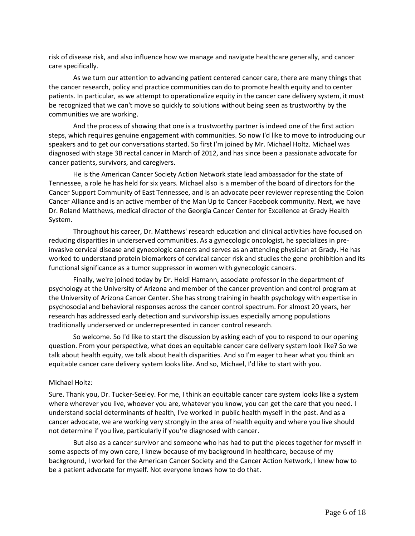risk of disease risk, and also influence how we manage and navigate healthcare generally, and cancer care specifically.

As we turn our attention to advancing patient centered cancer care, there are many things that the cancer research, policy and practice communities can do to promote health equity and to center patients. In particular, as we attempt to operationalize equity in the cancer care delivery system, it must be recognized that we can't move so quickly to solutions without being seen as trustworthy by the communities we are working.

And the process of showing that one is a trustworthy partner is indeed one of the first action steps, which requires genuine engagement with communities. So now I'd like to move to introducing our speakers and to get our conversations started. So first I'm joined by Mr. Michael Holtz. Michael was diagnosed with stage 3B rectal cancer in March of 2012, and has since been a passionate advocate for cancer patients, survivors, and caregivers.

He is the American Cancer Society Action Network state lead ambassador for the state of Tennessee, a role he has held for six years. Michael also is a member of the board of directors for the Cancer Support Community of East Tennessee, and is an advocate peer reviewer representing the Colon Cancer Alliance and is an active member of the Man Up to Cancer Facebook community. Next, we have Dr. Roland Matthews, medical director of the Georgia Cancer Center for Excellence at Grady Health System.

Throughout his career, Dr. Matthews' research education and clinical activities have focused on reducing disparities in underserved communities. As a gynecologic oncologist, he specializes in preinvasive cervical disease and gynecologic cancers and serves as an attending physician at Grady. He has worked to understand protein biomarkers of cervical cancer risk and studies the gene prohibition and its functional significance as a tumor suppressor in women with gynecologic cancers.

Finally, we're joined today by Dr. Heidi Hamann, associate professor in the department of psychology at the University of Arizona and member of the cancer prevention and control program at the University of Arizona Cancer Center. She has strong training in health psychology with expertise in psychosocial and behavioral responses across the cancer control spectrum. For almost 20 years, her research has addressed early detection and survivorship issues especially among populations traditionally underserved or underrepresented in cancer control research.

So welcome. So I'd like to start the discussion by asking each of you to respond to our opening question. From your perspective, what does an equitable cancer care delivery system look like? So we talk about health equity, we talk about health disparities. And so I'm eager to hear what you think an equitable cancer care delivery system looks like. And so, Michael, I'd like to start with you.

#### Michael Holtz:

Sure. Thank you, Dr. Tucker-Seeley. For me, I think an equitable cancer care system looks like a system where wherever you live, whoever you are, whatever you know, you can get the care that you need. I understand social determinants of health, I've worked in public health myself in the past. And as a cancer advocate, we are working very strongly in the area of health equity and where you live should not determine if you live, particularly if you're diagnosed with cancer.

But also as a cancer survivor and someone who has had to put the pieces together for myself in some aspects of my own care, I knew because of my background in healthcare, because of my background, I worked for the American Cancer Society and the Cancer Action Network, I knew how to be a patient advocate for myself. Not everyone knows how to do that.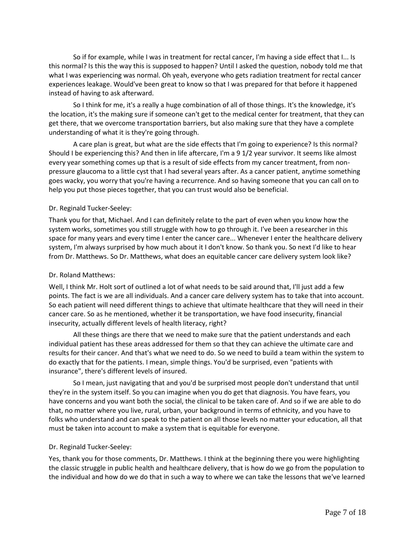So if for example, while I was in treatment for rectal cancer, I'm having a side effect that I... Is this normal? Is this the way this is supposed to happen? Until I asked the question, nobody told me that what I was experiencing was normal. Oh yeah, everyone who gets radiation treatment for rectal cancer experiences leakage. Would've been great to know so that I was prepared for that before it happened instead of having to ask afterward.

So I think for me, it's a really a huge combination of all of those things. It's the knowledge, it's the location, it's the making sure if someone can't get to the medical center for treatment, that they can get there, that we overcome transportation barriers, but also making sure that they have a complete understanding of what it is they're going through.

A care plan is great, but what are the side effects that I'm going to experience? Is this normal? Should I be experiencing this? And then in life aftercare, I'm a 9 1/2 year survivor. It seems like almost every year something comes up that is a result of side effects from my cancer treatment, from nonpressure glaucoma to a little cyst that I had several years after. As a cancer patient, anytime something goes wacky, you worry that you're having a recurrence. And so having someone that you can call on to help you put those pieces together, that you can trust would also be beneficial.

#### Dr. Reginald Tucker-Seeley:

Thank you for that, Michael. And I can definitely relate to the part of even when you know how the system works, sometimes you still struggle with how to go through it. I've been a researcher in this space for many years and every time I enter the cancer care... Whenever I enter the healthcare delivery system, I'm always surprised by how much about it I don't know. So thank you. So next I'd like to hear from Dr. Matthews. So Dr. Matthews, what does an equitable cancer care delivery system look like?

#### Dr. Roland Matthews:

Well, I think Mr. Holt sort of outlined a lot of what needs to be said around that, I'll just add a few points. The fact is we are all individuals. And a cancer care delivery system has to take that into account. So each patient will need different things to achieve that ultimate healthcare that they will need in their cancer care. So as he mentioned, whether it be transportation, we have food insecurity, financial insecurity, actually different levels of health literacy, right?

All these things are there that we need to make sure that the patient understands and each individual patient has these areas addressed for them so that they can achieve the ultimate care and results for their cancer. And that's what we need to do. So we need to build a team within the system to do exactly that for the patients. I mean, simple things. You'd be surprised, even "patients with insurance", there's different levels of insured.

So I mean, just navigating that and you'd be surprised most people don't understand that until they're in the system itself. So you can imagine when you do get that diagnosis. You have fears, you have concerns and you want both the social, the clinical to be taken care of. And so if we are able to do that, no matter where you live, rural, urban, your background in terms of ethnicity, and you have to folks who understand and can speak to the patient on all those levels no matter your education, all that must be taken into account to make a system that is equitable for everyone.

#### Dr. Reginald Tucker-Seeley:

Yes, thank you for those comments, Dr. Matthews. I think at the beginning there you were highlighting the classic struggle in public health and healthcare delivery, that is how do we go from the population to the individual and how do we do that in such a way to where we can take the lessons that we've learned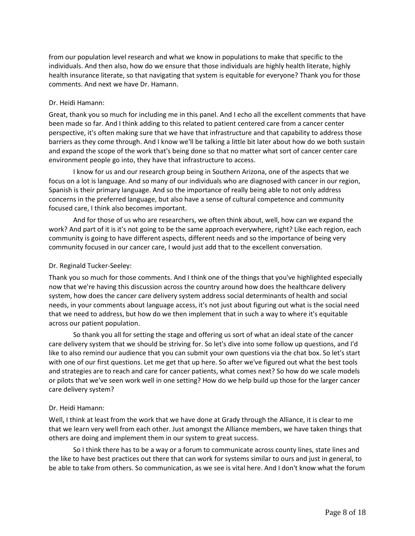from our population level research and what we know in populations to make that specific to the individuals. And then also, how do we ensure that those individuals are highly health literate, highly health insurance literate, so that navigating that system is equitable for everyone? Thank you for those comments. And next we have Dr. Hamann.

#### Dr. Heidi Hamann:

Great, thank you so much for including me in this panel. And I echo all the excellent comments that have been made so far. And I think adding to this related to patient centered care from a cancer center perspective, it's often making sure that we have that infrastructure and that capability to address those barriers as they come through. And I know we'll be talking a little bit later about how do we both sustain and expand the scope of the work that's being done so that no matter what sort of cancer center care environment people go into, they have that infrastructure to access.

I know for us and our research group being in Southern Arizona, one of the aspects that we focus on a lot is language. And so many of our individuals who are diagnosed with cancer in our region, Spanish is their primary language. And so the importance of really being able to not only address concerns in the preferred language, but also have a sense of cultural competence and community focused care, I think also becomes important.

And for those of us who are researchers, we often think about, well, how can we expand the work? And part of it is it's not going to be the same approach everywhere, right? Like each region, each community is going to have different aspects, different needs and so the importance of being very community focused in our cancer care, I would just add that to the excellent conversation.

#### Dr. Reginald Tucker-Seeley:

Thank you so much for those comments. And I think one of the things that you've highlighted especially now that we're having this discussion across the country around how does the healthcare delivery system, how does the cancer care delivery system address social determinants of health and social needs, in your comments about language access, it's not just about figuring out what is the social need that we need to address, but how do we then implement that in such a way to where it's equitable across our patient population.

So thank you all for setting the stage and offering us sort of what an ideal state of the cancer care delivery system that we should be striving for. So let's dive into some follow up questions, and I'd like to also remind our audience that you can submit your own questions via the chat box. So let's start with one of our first questions. Let me get that up here. So after we've figured out what the best tools and strategies are to reach and care for cancer patients, what comes next? So how do we scale models or pilots that we've seen work well in one setting? How do we help build up those for the larger cancer care delivery system?

#### Dr. Heidi Hamann:

Well, I think at least from the work that we have done at Grady through the Alliance, it is clear to me that we learn very well from each other. Just amongst the Alliance members, we have taken things that others are doing and implement them in our system to great success.

So I think there has to be a way or a forum to communicate across county lines, state lines and the like to have best practices out there that can work for systems similar to ours and just in general, to be able to take from others. So communication, as we see is vital here. And I don't know what the forum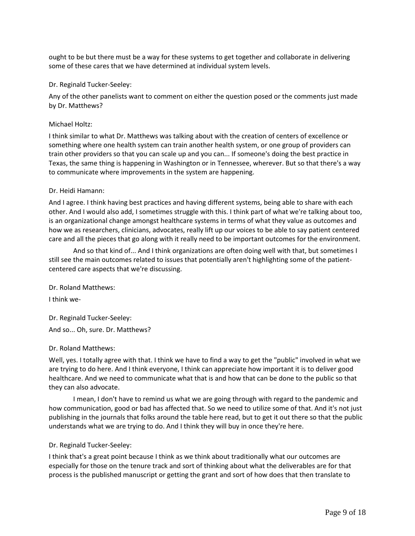ought to be but there must be a way for these systems to get together and collaborate in delivering some of these cares that we have determined at individual system levels.

#### Dr. Reginald Tucker-Seeley:

Any of the other panelists want to comment on either the question posed or the comments just made by Dr. Matthews?

#### Michael Holtz:

I think similar to what Dr. Matthews was talking about with the creation of centers of excellence or something where one health system can train another health system, or one group of providers can train other providers so that you can scale up and you can... If someone's doing the best practice in Texas, the same thing is happening in Washington or in Tennessee, wherever. But so that there's a way to communicate where improvements in the system are happening.

#### Dr. Heidi Hamann:

And I agree. I think having best practices and having different systems, being able to share with each other. And I would also add, I sometimes struggle with this. I think part of what we're talking about too, is an organizational change amongst healthcare systems in terms of what they value as outcomes and how we as researchers, clinicians, advocates, really lift up our voices to be able to say patient centered care and all the pieces that go along with it really need to be important outcomes for the environment.

And so that kind of... And I think organizations are often doing well with that, but sometimes I still see the main outcomes related to issues that potentially aren't highlighting some of the patientcentered care aspects that we're discussing.

Dr. Roland Matthews:

I think we-

Dr. Reginald Tucker-Seeley: And so... Oh, sure. Dr. Matthews?

# Dr. Roland Matthews:

Well, yes. I totally agree with that. I think we have to find a way to get the "public" involved in what we are trying to do here. And I think everyone, I think can appreciate how important it is to deliver good healthcare. And we need to communicate what that is and how that can be done to the public so that they can also advocate.

I mean, I don't have to remind us what we are going through with regard to the pandemic and how communication, good or bad has affected that. So we need to utilize some of that. And it's not just publishing in the journals that folks around the table here read, but to get it out there so that the public understands what we are trying to do. And I think they will buy in once they're here.

# Dr. Reginald Tucker-Seeley:

I think that's a great point because I think as we think about traditionally what our outcomes are especially for those on the tenure track and sort of thinking about what the deliverables are for that process is the published manuscript or getting the grant and sort of how does that then translate to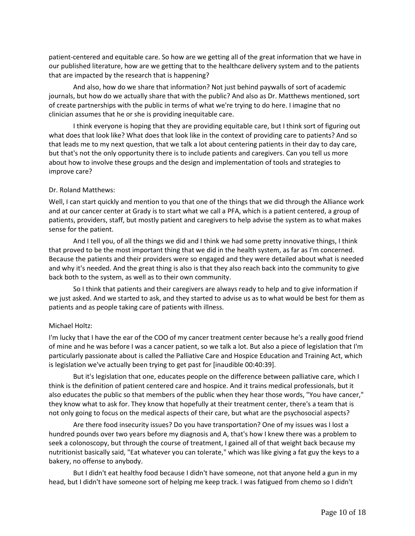patient-centered and equitable care. So how are we getting all of the great information that we have in our published literature, how are we getting that to the healthcare delivery system and to the patients that are impacted by the research that is happening?

And also, how do we share that information? Not just behind paywalls of sort of academic journals, but how do we actually share that with the public? And also as Dr. Matthews mentioned, sort of create partnerships with the public in terms of what we're trying to do here. I imagine that no clinician assumes that he or she is providing inequitable care.

I think everyone is hoping that they are providing equitable care, but I think sort of figuring out what does that look like? What does that look like in the context of providing care to patients? And so that leads me to my next question, that we talk a lot about centering patients in their day to day care, but that's not the only opportunity there is to include patients and caregivers. Can you tell us more about how to involve these groups and the design and implementation of tools and strategies to improve care?

#### Dr. Roland Matthews:

Well, I can start quickly and mention to you that one of the things that we did through the Alliance work and at our cancer center at Grady is to start what we call a PFA, which is a patient centered, a group of patients, providers, staff, but mostly patient and caregivers to help advise the system as to what makes sense for the patient.

And I tell you, of all the things we did and I think we had some pretty innovative things, I think that proved to be the most important thing that we did in the health system, as far as I'm concerned. Because the patients and their providers were so engaged and they were detailed about what is needed and why it's needed. And the great thing is also is that they also reach back into the community to give back both to the system, as well as to their own community.

So I think that patients and their caregivers are always ready to help and to give information if we just asked. And we started to ask, and they started to advise us as to what would be best for them as patients and as people taking care of patients with illness.

# Michael Holtz:

I'm lucky that I have the ear of the COO of my cancer treatment center because he's a really good friend of mine and he was before I was a cancer patient, so we talk a lot. But also a piece of legislation that I'm particularly passionate about is called the Palliative Care and Hospice Education and Training Act, which is legislation we've actually been trying to get past for [inaudible 00:40:39].

But it's legislation that one, educates people on the difference between palliative care, which I think is the definition of patient centered care and hospice. And it trains medical professionals, but it also educates the public so that members of the public when they hear those words, "You have cancer," they know what to ask for. They know that hopefully at their treatment center, there's a team that is not only going to focus on the medical aspects of their care, but what are the psychosocial aspects?

Are there food insecurity issues? Do you have transportation? One of my issues was I lost a hundred pounds over two years before my diagnosis and A, that's how I knew there was a problem to seek a colonoscopy, but through the course of treatment, I gained all of that weight back because my nutritionist basically said, "Eat whatever you can tolerate," which was like giving a fat guy the keys to a bakery, no offense to anybody.

But I didn't eat healthy food because I didn't have someone, not that anyone held a gun in my head, but I didn't have someone sort of helping me keep track. I was fatigued from chemo so I didn't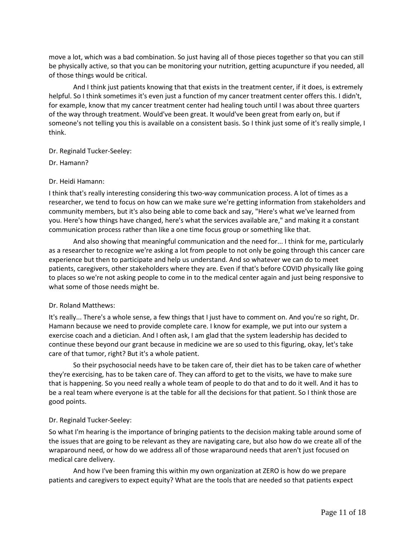move a lot, which was a bad combination. So just having all of those pieces together so that you can still be physically active, so that you can be monitoring your nutrition, getting acupuncture if you needed, all of those things would be critical.

And I think just patients knowing that that exists in the treatment center, if it does, is extremely helpful. So I think sometimes it's even just a function of my cancer treatment center offers this. I didn't, for example, know that my cancer treatment center had healing touch until I was about three quarters of the way through treatment. Would've been great. It would've been great from early on, but if someone's not telling you this is available on a consistent basis. So I think just some of it's really simple, I think.

# Dr. Reginald Tucker-Seeley:

Dr. Hamann?

#### Dr. Heidi Hamann:

I think that's really interesting considering this two-way communication process. A lot of times as a researcher, we tend to focus on how can we make sure we're getting information from stakeholders and community members, but it's also being able to come back and say, "Here's what we've learned from you. Here's how things have changed, here's what the services available are," and making it a constant communication process rather than like a one time focus group or something like that.

And also showing that meaningful communication and the need for... I think for me, particularly as a researcher to recognize we're asking a lot from people to not only be going through this cancer care experience but then to participate and help us understand. And so whatever we can do to meet patients, caregivers, other stakeholders where they are. Even if that's before COVID physically like going to places so we're not asking people to come in to the medical center again and just being responsive to what some of those needs might be.

# Dr. Roland Matthews:

It's really... There's a whole sense, a few things that I just have to comment on. And you're so right, Dr. Hamann because we need to provide complete care. I know for example, we put into our system a exercise coach and a dietician. And I often ask, I am glad that the system leadership has decided to continue these beyond our grant because in medicine we are so used to this figuring, okay, let's take care of that tumor, right? But it's a whole patient.

So their psychosocial needs have to be taken care of, their diet has to be taken care of whether they're exercising, has to be taken care of. They can afford to get to the visits, we have to make sure that is happening. So you need really a whole team of people to do that and to do it well. And it has to be a real team where everyone is at the table for all the decisions for that patient. So I think those are good points.

# Dr. Reginald Tucker-Seeley:

So what I'm hearing is the importance of bringing patients to the decision making table around some of the issues that are going to be relevant as they are navigating care, but also how do we create all of the wraparound need, or how do we address all of those wraparound needs that aren't just focused on medical care delivery.

And how I've been framing this within my own organization at ZERO is how do we prepare patients and caregivers to expect equity? What are the tools that are needed so that patients expect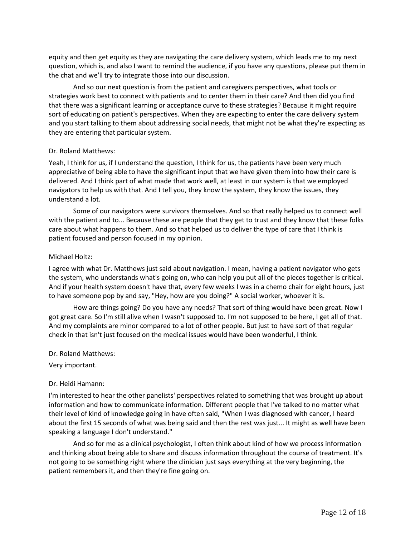equity and then get equity as they are navigating the care delivery system, which leads me to my next question, which is, and also I want to remind the audience, if you have any questions, please put them in the chat and we'll try to integrate those into our discussion.

And so our next question is from the patient and caregivers perspectives, what tools or strategies work best to connect with patients and to center them in their care? And then did you find that there was a significant learning or acceptance curve to these strategies? Because it might require sort of educating on patient's perspectives. When they are expecting to enter the care delivery system and you start talking to them about addressing social needs, that might not be what they're expecting as they are entering that particular system.

# Dr. Roland Matthews:

Yeah, I think for us, if I understand the question, I think for us, the patients have been very much appreciative of being able to have the significant input that we have given them into how their care is delivered. And I think part of what made that work well, at least in our system is that we employed navigators to help us with that. And I tell you, they know the system, they know the issues, they understand a lot.

Some of our navigators were survivors themselves. And so that really helped us to connect well with the patient and to... Because these are people that they get to trust and they know that these folks care about what happens to them. And so that helped us to deliver the type of care that I think is patient focused and person focused in my opinion.

#### Michael Holtz:

I agree with what Dr. Matthews just said about navigation. I mean, having a patient navigator who gets the system, who understands what's going on, who can help you put all of the pieces together is critical. And if your health system doesn't have that, every few weeks I was in a chemo chair for eight hours, just to have someone pop by and say, "Hey, how are you doing?" A social worker, whoever it is.

How are things going? Do you have any needs? That sort of thing would have been great. Now I got great care. So I'm still alive when I wasn't supposed to. I'm not supposed to be here, I get all of that. And my complaints are minor compared to a lot of other people. But just to have sort of that regular check in that isn't just focused on the medical issues would have been wonderful, I think.

#### Dr. Roland Matthews:

Very important.

# Dr. Heidi Hamann:

I'm interested to hear the other panelists' perspectives related to something that was brought up about information and how to communicate information. Different people that I've talked to no matter what their level of kind of knowledge going in have often said, "When I was diagnosed with cancer, I heard about the first 15 seconds of what was being said and then the rest was just... It might as well have been speaking a language I don't understand."

And so for me as a clinical psychologist, I often think about kind of how we process information and thinking about being able to share and discuss information throughout the course of treatment. It's not going to be something right where the clinician just says everything at the very beginning, the patient remembers it, and then they're fine going on.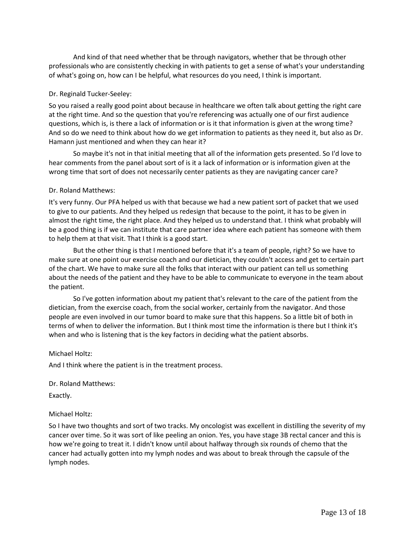And kind of that need whether that be through navigators, whether that be through other professionals who are consistently checking in with patients to get a sense of what's your understanding of what's going on, how can I be helpful, what resources do you need, I think is important.

#### Dr. Reginald Tucker-Seeley:

So you raised a really good point about because in healthcare we often talk about getting the right care at the right time. And so the question that you're referencing was actually one of our first audience questions, which is, is there a lack of information or is it that information is given at the wrong time? And so do we need to think about how do we get information to patients as they need it, but also as Dr. Hamann just mentioned and when they can hear it?

So maybe it's not in that initial meeting that all of the information gets presented. So I'd love to hear comments from the panel about sort of is it a lack of information or is information given at the wrong time that sort of does not necessarily center patients as they are navigating cancer care?

#### Dr. Roland Matthews:

It's very funny. Our PFA helped us with that because we had a new patient sort of packet that we used to give to our patients. And they helped us redesign that because to the point, it has to be given in almost the right time, the right place. And they helped us to understand that. I think what probably will be a good thing is if we can institute that care partner idea where each patient has someone with them to help them at that visit. That I think is a good start.

But the other thing is that I mentioned before that it's a team of people, right? So we have to make sure at one point our exercise coach and our dietician, they couldn't access and get to certain part of the chart. We have to make sure all the folks that interact with our patient can tell us something about the needs of the patient and they have to be able to communicate to everyone in the team about the patient.

So I've gotten information about my patient that's relevant to the care of the patient from the dietician, from the exercise coach, from the social worker, certainly from the navigator. And those people are even involved in our tumor board to make sure that this happens. So a little bit of both in terms of when to deliver the information. But I think most time the information is there but I think it's when and who is listening that is the key factors in deciding what the patient absorbs.

# Michael Holtz:

And I think where the patient is in the treatment process.

Dr. Roland Matthews:

Exactly.

# Michael Holtz:

So I have two thoughts and sort of two tracks. My oncologist was excellent in distilling the severity of my cancer over time. So it was sort of like peeling an onion. Yes, you have stage 3B rectal cancer and this is how we're going to treat it. I didn't know until about halfway through six rounds of chemo that the cancer had actually gotten into my lymph nodes and was about to break through the capsule of the lymph nodes.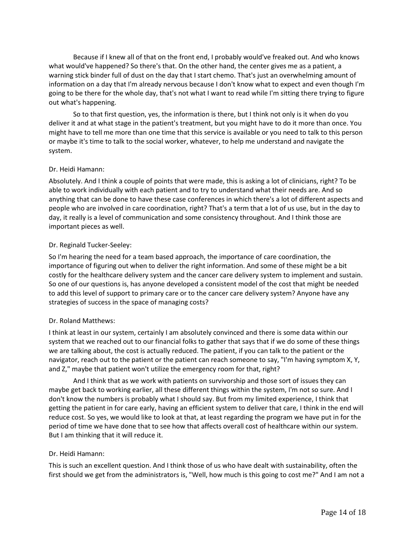Because if I knew all of that on the front end, I probably would've freaked out. And who knows what would've happened? So there's that. On the other hand, the center gives me as a patient, a warning stick binder full of dust on the day that I start chemo. That's just an overwhelming amount of information on a day that I'm already nervous because I don't know what to expect and even though I'm going to be there for the whole day, that's not what I want to read while I'm sitting there trying to figure out what's happening.

So to that first question, yes, the information is there, but I think not only is it when do you deliver it and at what stage in the patient's treatment, but you might have to do it more than once. You might have to tell me more than one time that this service is available or you need to talk to this person or maybe it's time to talk to the social worker, whatever, to help me understand and navigate the system.

#### Dr. Heidi Hamann:

Absolutely. And I think a couple of points that were made, this is asking a lot of clinicians, right? To be able to work individually with each patient and to try to understand what their needs are. And so anything that can be done to have these case conferences in which there's a lot of different aspects and people who are involved in care coordination, right? That's a term that a lot of us use, but in the day to day, it really is a level of communication and some consistency throughout. And I think those are important pieces as well.

#### Dr. Reginald Tucker-Seeley:

So I'm hearing the need for a team based approach, the importance of care coordination, the importance of figuring out when to deliver the right information. And some of these might be a bit costly for the healthcare delivery system and the cancer care delivery system to implement and sustain. So one of our questions is, has anyone developed a consistent model of the cost that might be needed to add this level of support to primary care or to the cancer care delivery system? Anyone have any strategies of success in the space of managing costs?

# Dr. Roland Matthews:

I think at least in our system, certainly I am absolutely convinced and there is some data within our system that we reached out to our financial folks to gather that says that if we do some of these things we are talking about, the cost is actually reduced. The patient, if you can talk to the patient or the navigator, reach out to the patient or the patient can reach someone to say, "I'm having symptom X, Y, and Z," maybe that patient won't utilize the emergency room for that, right?

And I think that as we work with patients on survivorship and those sort of issues they can maybe get back to working earlier, all these different things within the system, I'm not so sure. And I don't know the numbers is probably what I should say. But from my limited experience, I think that getting the patient in for care early, having an efficient system to deliver that care, I think in the end will reduce cost. So yes, we would like to look at that, at least regarding the program we have put in for the period of time we have done that to see how that affects overall cost of healthcare within our system. But I am thinking that it will reduce it.

# Dr. Heidi Hamann:

This is such an excellent question. And I think those of us who have dealt with sustainability, often the first should we get from the administrators is, "Well, how much is this going to cost me?" And I am not a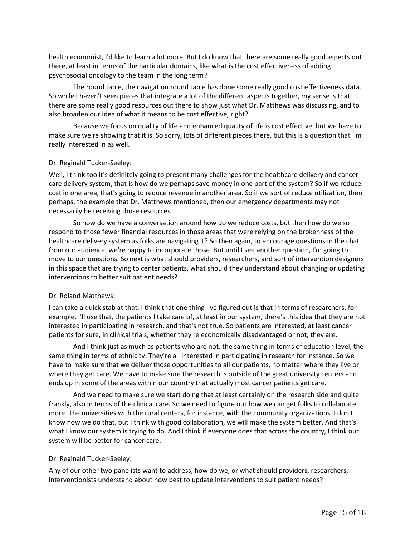health economist, I'd like to learn a lot more. But I do know that there are some really good aspects out there, at least in terms of the particular domains, like what is the cost effectiveness of adding psychosocial oncology to the team in the long term?

The round table, the navigation round table has done some really good cost effectiveness data. So while I haven't seen pieces that integrate a lot of the different aspects together, my sense is that there are some really good resources out there to show just what Dr. Matthews was discussing, and to also broaden our idea of what it means to be cost effective, right?

Because we focus on quality of life and enhanced quality of life is cost effective, but we have to make sure we're showing that it is. So sorry, lots of different pieces there, but this is a question that I'm really interested in as well.

#### Dr. Reginald Tucker-Seeley:

Well, I think too it's definitely going to present many challenges for the healthcare delivery and cancer care delivery system, that is how do we perhaps save money in one part of the system? So if we reduce cost in one area, that's going to reduce revenue in another area. So if we sort of reduce utilization, then perhaps, the example that Dr. Matthews mentioned, then our emergency departments may not necessarily be receiving those resources.

So how do we have a conversation around how do we reduce costs, but then how do we so respond to those fewer financial resources in those areas that were relying on the brokenness of the healthcare delivery system as folks are navigating it? So then again, to encourage questions in the chat from our audience, we're happy to incorporate those. But until I see another question, I'm going to move to our questions. So next is what should providers, researchers, and sort of intervention designers in this space that are trying to center patients, what should they understand about changing or updating interventions to better suit patient needs?

#### Dr. Roland Matthews:

I can take a quick stab at that. I think that one thing I've figured out is that in terms of researchers, for example, I'll use that, the patients I take care of, at least in our system, there's this idea that they are not interested in participating in research, and that's not true. So patients are interested, at least cancer patients for sure, in clinical trials, whether they're economically disadvantaged or not, they are.

And I think just as much as patients who are not, the same thing in terms of education level, the same thing in terms of ethnicity. They're all interested in participating in research for instance. So we have to make sure that we deliver those opportunities to all our patients, no matter where they live or where they get care. We have to make sure the research is outside of the great university centers and ends up in some of the areas within our country that actually most cancer patients get care.

And we need to make sure we start doing that at least certainly on the research side and quite frankly, also in terms of the clinical care. So we need to figure out how we can get folks to collaborate more. The universities with the rural centers, for instance, with the community organizations. I don't know how we do that, but I think with good collaboration, we will make the system better. And that's what I know our system is trying to do. And I think if everyone does that across the country, I think our system will be better for cancer care.

# Dr. Reginald Tucker-Seeley:

Any of our other two panelists want to address, how do we, or what should providers, researchers, interventionists understand about how best to update interventions to suit patient needs?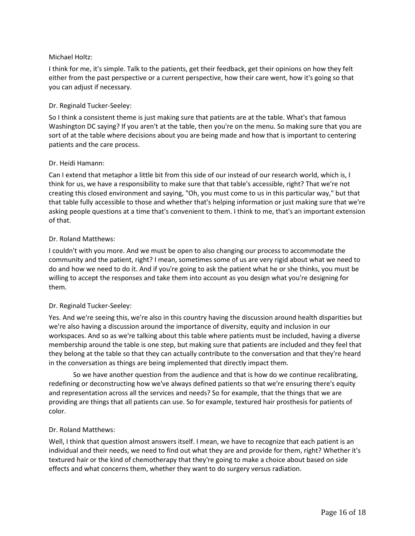# Michael Holtz:

I think for me, it's simple. Talk to the patients, get their feedback, get their opinions on how they felt either from the past perspective or a current perspective, how their care went, how it's going so that you can adjust if necessary.

# Dr. Reginald Tucker-Seeley:

So I think a consistent theme is just making sure that patients are at the table. What's that famous Washington DC saying? If you aren't at the table, then you're on the menu. So making sure that you are sort of at the table where decisions about you are being made and how that is important to centering patients and the care process.

# Dr. Heidi Hamann:

Can I extend that metaphor a little bit from this side of our instead of our research world, which is, I think for us, we have a responsibility to make sure that that table's accessible, right? That we're not creating this closed environment and saying, "Oh, you must come to us in this particular way," but that that table fully accessible to those and whether that's helping information or just making sure that we're asking people questions at a time that's convenient to them. I think to me, that's an important extension of that.

# Dr. Roland Matthews:

I couldn't with you more. And we must be open to also changing our process to accommodate the community and the patient, right? I mean, sometimes some of us are very rigid about what we need to do and how we need to do it. And if you're going to ask the patient what he or she thinks, you must be willing to accept the responses and take them into account as you design what you're designing for them.

# Dr. Reginald Tucker-Seeley:

Yes. And we're seeing this, we're also in this country having the discussion around health disparities but we're also having a discussion around the importance of diversity, equity and inclusion in our workspaces. And so as we're talking about this table where patients must be included, having a diverse membership around the table is one step, but making sure that patients are included and they feel that they belong at the table so that they can actually contribute to the conversation and that they're heard in the conversation as things are being implemented that directly impact them.

So we have another question from the audience and that is how do we continue recalibrating, redefining or deconstructing how we've always defined patients so that we're ensuring there's equity and representation across all the services and needs? So for example, that the things that we are providing are things that all patients can use. So for example, textured hair prosthesis for patients of color.

# Dr. Roland Matthews:

Well, I think that question almost answers itself. I mean, we have to recognize that each patient is an individual and their needs, we need to find out what they are and provide for them, right? Whether it's textured hair or the kind of chemotherapy that they're going to make a choice about based on side effects and what concerns them, whether they want to do surgery versus radiation.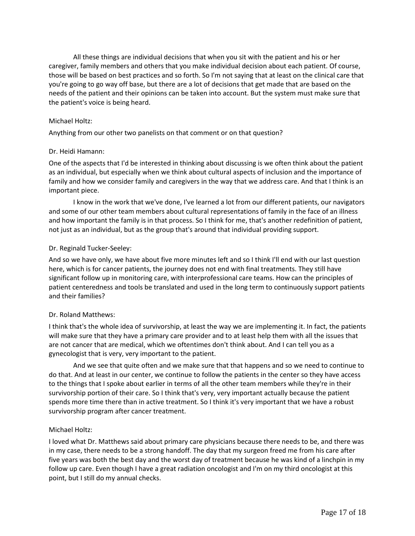All these things are individual decisions that when you sit with the patient and his or her caregiver, family members and others that you make individual decision about each patient. Of course, those will be based on best practices and so forth. So I'm not saying that at least on the clinical care that you're going to go way off base, but there are a lot of decisions that get made that are based on the needs of the patient and their opinions can be taken into account. But the system must make sure that the patient's voice is being heard.

#### Michael Holtz:

Anything from our other two panelists on that comment or on that question?

#### Dr. Heidi Hamann:

One of the aspects that I'd be interested in thinking about discussing is we often think about the patient as an individual, but especially when we think about cultural aspects of inclusion and the importance of family and how we consider family and caregivers in the way that we address care. And that I think is an important piece.

I know in the work that we've done, I've learned a lot from our different patients, our navigators and some of our other team members about cultural representations of family in the face of an illness and how important the family is in that process. So I think for me, that's another redefinition of patient, not just as an individual, but as the group that's around that individual providing support.

#### Dr. Reginald Tucker-Seeley:

And so we have only, we have about five more minutes left and so I think I'll end with our last question here, which is for cancer patients, the journey does not end with final treatments. They still have significant follow up in monitoring care, with interprofessional care teams. How can the principles of patient centeredness and tools be translated and used in the long term to continuously support patients and their families?

# Dr. Roland Matthews:

I think that's the whole idea of survivorship, at least the way we are implementing it. In fact, the patients will make sure that they have a primary care provider and to at least help them with all the issues that are not cancer that are medical, which we oftentimes don't think about. And I can tell you as a gynecologist that is very, very important to the patient.

And we see that quite often and we make sure that that happens and so we need to continue to do that. And at least in our center, we continue to follow the patients in the center so they have access to the things that I spoke about earlier in terms of all the other team members while they're in their survivorship portion of their care. So I think that's very, very important actually because the patient spends more time there than in active treatment. So I think it's very important that we have a robust survivorship program after cancer treatment.

# Michael Holtz:

I loved what Dr. Matthews said about primary care physicians because there needs to be, and there was in my case, there needs to be a strong handoff. The day that my surgeon freed me from his care after five years was both the best day and the worst day of treatment because he was kind of a linchpin in my follow up care. Even though I have a great radiation oncologist and I'm on my third oncologist at this point, but I still do my annual checks.